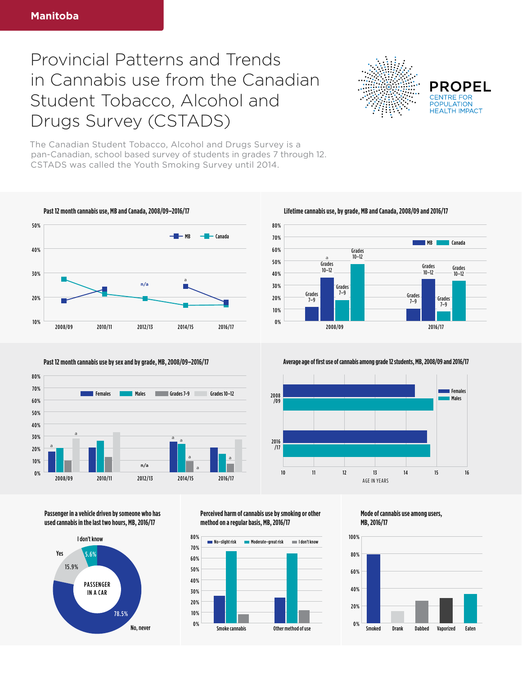## Provincial Patterns and Trends in Cannabis use from the Canadian Student Tobacco, Alcohol and Drugs Survey (CSTADS)



**PROPEL POPULATION HFAITH IMPACT** 

The Canadian Student Tobacco, Alcohol and Drugs Survey is a pan-Canadian, school based survey of students in grades 7 through 12. CSTADS was called the Youth Smoking Survey until 2014.







**Past 12 month cannabis use by sex and by grade, MB, 2008/09–2016/17 Average age of first use of cannabis among grade 12 students, MB, 2008/09 and 2016/17** 



**Passenger in a vehicle driven by someone who has used cannabis in the last two hours, MB, 2016/17**



**Perceived harm of cannabis use by smoking or other method on a regular basis, MB, 2016/17**

80%



**Mode of cannabis use among users, MB, 2016/17**